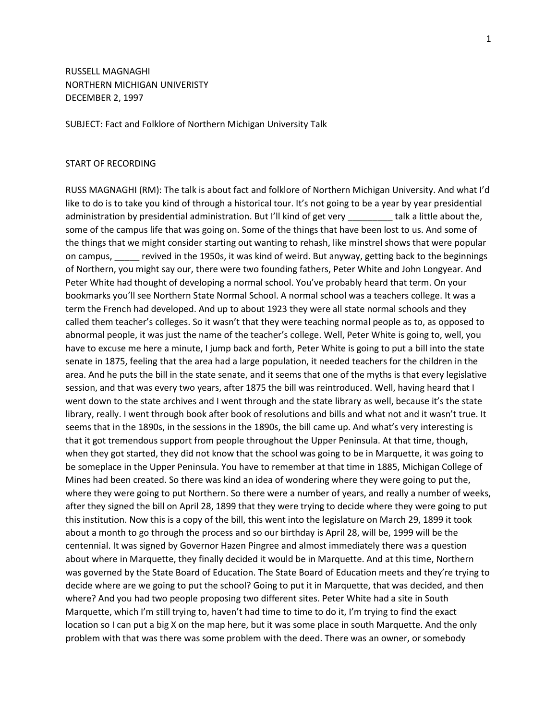RUSSELL MAGNAGHI NORTHERN MICHIGAN UNIVERISTY DECEMBER 2, 1997

SUBJECT: Fact and Folklore of Northern Michigan University Talk

## START OF RECORDING

RUSS MAGNAGHI (RM): The talk is about fact and folklore of Northern Michigan University. And what I'd like to do is to take you kind of through a historical tour. It's not going to be a year by year presidential administration by presidential administration. But I'll kind of get very talk a little about the, some of the campus life that was going on. Some of the things that have been lost to us. And some of the things that we might consider starting out wanting to rehash, like minstrel shows that were popular on campus, evived in the 1950s, it was kind of weird. But anyway, getting back to the beginnings of Northern, you might say our, there were two founding fathers, Peter White and John Longyear. And Peter White had thought of developing a normal school. You've probably heard that term. On your bookmarks you'll see Northern State Normal School. A normal school was a teachers college. It was a term the French had developed. And up to about 1923 they were all state normal schools and they called them teacher's colleges. So it wasn't that they were teaching normal people as to, as opposed to abnormal people, it was just the name of the teacher's college. Well, Peter White is going to, well, you have to excuse me here a minute, I jump back and forth, Peter White is going to put a bill into the state senate in 1875, feeling that the area had a large population, it needed teachers for the children in the area. And he puts the bill in the state senate, and it seems that one of the myths is that every legislative session, and that was every two years, after 1875 the bill was reintroduced. Well, having heard that I went down to the state archives and I went through and the state library as well, because it's the state library, really. I went through book after book of resolutions and bills and what not and it wasn't true. It seems that in the 1890s, in the sessions in the 1890s, the bill came up. And what's very interesting is that it got tremendous support from people throughout the Upper Peninsula. At that time, though, when they got started, they did not know that the school was going to be in Marquette, it was going to be someplace in the Upper Peninsula. You have to remember at that time in 1885, Michigan College of Mines had been created. So there was kind an idea of wondering where they were going to put the, where they were going to put Northern. So there were a number of years, and really a number of weeks, after they signed the bill on April 28, 1899 that they were trying to decide where they were going to put this institution. Now this is a copy of the bill, this went into the legislature on March 29, 1899 it took about a month to go through the process and so our birthday is April 28, will be, 1999 will be the centennial. It was signed by Governor Hazen Pingree and almost immediately there was a question about where in Marquette, they finally decided it would be in Marquette. And at this time, Northern was governed by the State Board of Education. The State Board of Education meets and they're trying to decide where are we going to put the school? Going to put it in Marquette, that was decided, and then where? And you had two people proposing two different sites. Peter White had a site in South Marquette, which I'm still trying to, haven't had time to time to do it, I'm trying to find the exact location so I can put a big X on the map here, but it was some place in south Marquette. And the only problem with that was there was some problem with the deed. There was an owner, or somebody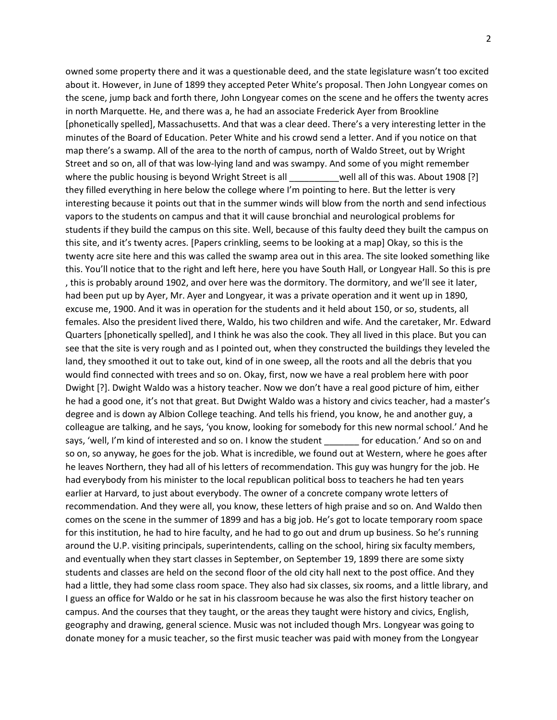owned some property there and it was a questionable deed, and the state legislature wasn't too excited about it. However, in June of 1899 they accepted Peter White's proposal. Then John Longyear comes on the scene, jump back and forth there, John Longyear comes on the scene and he offers the twenty acres in north Marquette. He, and there was a, he had an associate Frederick Ayer from Brookline [phonetically spelled], Massachusetts. And that was a clear deed. There's a very interesting letter in the minutes of the Board of Education. Peter White and his crowd send a letter. And if you notice on that map there's a swamp. All of the area to the north of campus, north of Waldo Street, out by Wright Street and so on, all of that was low-lying land and was swampy. And some of you might remember where the public housing is beyond Wright Street is all \_\_\_\_\_\_\_\_well all of this was. About 1908 [?] they filled everything in here below the college where I'm pointing to here. But the letter is very interesting because it points out that in the summer winds will blow from the north and send infectious vapors to the students on campus and that it will cause bronchial and neurological problems for students if they build the campus on this site. Well, because of this faulty deed they built the campus on this site, and it's twenty acres. [Papers crinkling, seems to be looking at a map] Okay, so this is the twenty acre site here and this was called the swamp area out in this area. The site looked something like this. You'll notice that to the right and left here, here you have South Hall, or Longyear Hall. So this is pre , this is probably around 1902, and over here was the dormitory. The dormitory, and we'll see it later, had been put up by Ayer, Mr. Ayer and Longyear, it was a private operation and it went up in 1890, excuse me, 1900. And it was in operation for the students and it held about 150, or so, students, all females. Also the president lived there, Waldo, his two children and wife. And the caretaker, Mr. Edward Quarters [phonetically spelled], and I think he was also the cook. They all lived in this place. But you can see that the site is very rough and as I pointed out, when they constructed the buildings they leveled the land, they smoothed it out to take out, kind of in one sweep, all the roots and all the debris that you would find connected with trees and so on. Okay, first, now we have a real problem here with poor Dwight [?]. Dwight Waldo was a history teacher. Now we don't have a real good picture of him, either he had a good one, it's not that great. But Dwight Waldo was a history and civics teacher, had a master's degree and is down ay Albion College teaching. And tells his friend, you know, he and another guy, a colleague are talking, and he says, 'you know, looking for somebody for this new normal school.' And he says, 'well, I'm kind of interested and so on. I know the student for education.' And so on and so on, so anyway, he goes for the job. What is incredible, we found out at Western, where he goes after he leaves Northern, they had all of his letters of recommendation. This guy was hungry for the job. He had everybody from his minister to the local republican political boss to teachers he had ten years earlier at Harvard, to just about everybody. The owner of a concrete company wrote letters of recommendation. And they were all, you know, these letters of high praise and so on. And Waldo then comes on the scene in the summer of 1899 and has a big job. He's got to locate temporary room space for this institution, he had to hire faculty, and he had to go out and drum up business. So he's running around the U.P. visiting principals, superintendents, calling on the school, hiring six faculty members, and eventually when they start classes in September, on September 19, 1899 there are some sixty students and classes are held on the second floor of the old city hall next to the post office. And they had a little, they had some class room space. They also had six classes, six rooms, and a little library, and I guess an office for Waldo or he sat in his classroom because he was also the first history teacher on campus. And the courses that they taught, or the areas they taught were history and civics, English, geography and drawing, general science. Music was not included though Mrs. Longyear was going to donate money for a music teacher, so the first music teacher was paid with money from the Longyear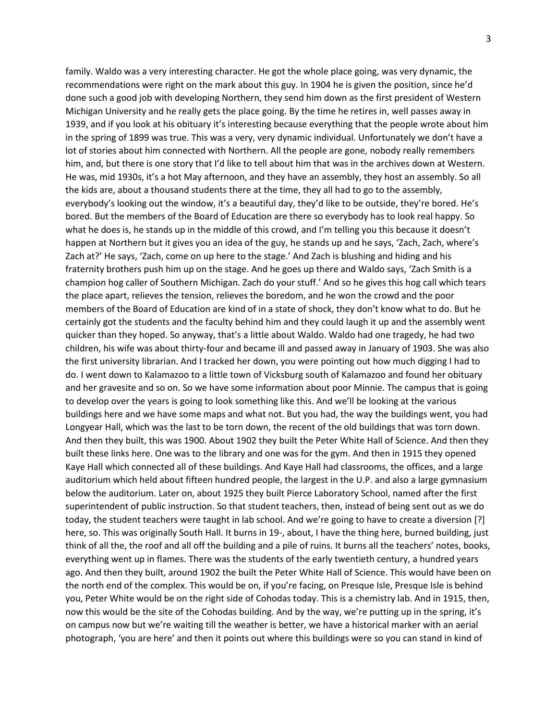family. Waldo was a very interesting character. He got the whole place going, was very dynamic, the recommendations were right on the mark about this guy. In 1904 he is given the position, since he'd done such a good job with developing Northern, they send him down as the first president of Western Michigan University and he really gets the place going. By the time he retires in, well passes away in 1939, and if you look at his obituary it's interesting because everything that the people wrote about him in the spring of 1899 was true. This was a very, very dynamic individual. Unfortunately we don't have a lot of stories about him connected with Northern. All the people are gone, nobody really remembers him, and, but there is one story that I'd like to tell about him that was in the archives down at Western. He was, mid 1930s, it's a hot May afternoon, and they have an assembly, they host an assembly. So all the kids are, about a thousand students there at the time, they all had to go to the assembly, everybody's looking out the window, it's a beautiful day, they'd like to be outside, they're bored. He's bored. But the members of the Board of Education are there so everybody has to look real happy. So what he does is, he stands up in the middle of this crowd, and I'm telling you this because it doesn't happen at Northern but it gives you an idea of the guy, he stands up and he says, 'Zach, Zach, where's Zach at?' He says, 'Zach, come on up here to the stage.' And Zach is blushing and hiding and his fraternity brothers push him up on the stage. And he goes up there and Waldo says, 'Zach Smith is a champion hog caller of Southern Michigan. Zach do your stuff.' And so he gives this hog call which tears the place apart, relieves the tension, relieves the boredom, and he won the crowd and the poor members of the Board of Education are kind of in a state of shock, they don't know what to do. But he certainly got the students and the faculty behind him and they could laugh it up and the assembly went quicker than they hoped. So anyway, that's a little about Waldo. Waldo had one tragedy, he had two children, his wife was about thirty-four and became ill and passed away in January of 1903. She was also the first university librarian. And I tracked her down, you were pointing out how much digging I had to do. I went down to Kalamazoo to a little town of Vicksburg south of Kalamazoo and found her obituary and her gravesite and so on. So we have some information about poor Minnie. The campus that is going to develop over the years is going to look something like this. And we'll be looking at the various buildings here and we have some maps and what not. But you had, the way the buildings went, you had Longyear Hall, which was the last to be torn down, the recent of the old buildings that was torn down. And then they built, this was 1900. About 1902 they built the Peter White Hall of Science. And then they built these links here. One was to the library and one was for the gym. And then in 1915 they opened Kaye Hall which connected all of these buildings. And Kaye Hall had classrooms, the offices, and a large auditorium which held about fifteen hundred people, the largest in the U.P. and also a large gymnasium below the auditorium. Later on, about 1925 they built Pierce Laboratory School, named after the first superintendent of public instruction. So that student teachers, then, instead of being sent out as we do today, the student teachers were taught in lab school. And we're going to have to create a diversion [?] here, so. This was originally South Hall. It burns in 19-, about, I have the thing here, burned building, just think of all the, the roof and all off the building and a pile of ruins. It burns all the teachers' notes, books, everything went up in flames. There was the students of the early twentieth century, a hundred years ago. And then they built, around 1902 the built the Peter White Hall of Science. This would have been on the north end of the complex. This would be on, if you're facing, on Presque Isle, Presque Isle is behind you, Peter White would be on the right side of Cohodas today. This is a chemistry lab. And in 1915, then, now this would be the site of the Cohodas building. And by the way, we're putting up in the spring, it's on campus now but we're waiting till the weather is better, we have a historical marker with an aerial photograph, 'you are here' and then it points out where this buildings were so you can stand in kind of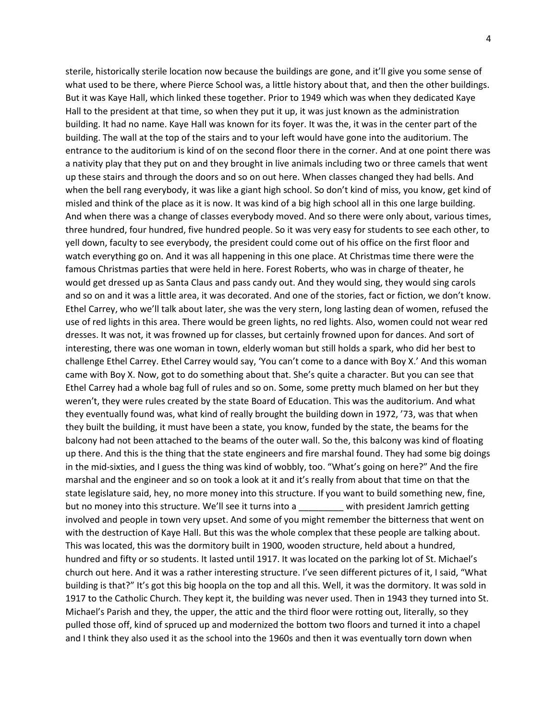sterile, historically sterile location now because the buildings are gone, and it'll give you some sense of what used to be there, where Pierce School was, a little history about that, and then the other buildings. But it was Kaye Hall, which linked these together. Prior to 1949 which was when they dedicated Kaye Hall to the president at that time, so when they put it up, it was just known as the administration building. It had no name. Kaye Hall was known for its foyer. It was the, it was in the center part of the building. The wall at the top of the stairs and to your left would have gone into the auditorium. The entrance to the auditorium is kind of on the second floor there in the corner. And at one point there was a nativity play that they put on and they brought in live animals including two or three camels that went up these stairs and through the doors and so on out here. When classes changed they had bells. And when the bell rang everybody, it was like a giant high school. So don't kind of miss, you know, get kind of misled and think of the place as it is now. It was kind of a big high school all in this one large building. And when there was a change of classes everybody moved. And so there were only about, various times, three hundred, four hundred, five hundred people. So it was very easy for students to see each other, to yell down, faculty to see everybody, the president could come out of his office on the first floor and watch everything go on. And it was all happening in this one place. At Christmas time there were the famous Christmas parties that were held in here. Forest Roberts, who was in charge of theater, he would get dressed up as Santa Claus and pass candy out. And they would sing, they would sing carols and so on and it was a little area, it was decorated. And one of the stories, fact or fiction, we don't know. Ethel Carrey, who we'll talk about later, she was the very stern, long lasting dean of women, refused the use of red lights in this area. There would be green lights, no red lights. Also, women could not wear red dresses. It was not, it was frowned up for classes, but certainly frowned upon for dances. And sort of interesting, there was one woman in town, elderly woman but still holds a spark, who did her best to challenge Ethel Carrey. Ethel Carrey would say, 'You can't come to a dance with Boy X.' And this woman came with Boy X. Now, got to do something about that. She's quite a character. But you can see that Ethel Carrey had a whole bag full of rules and so on. Some, some pretty much blamed on her but they weren't, they were rules created by the state Board of Education. This was the auditorium. And what they eventually found was, what kind of really brought the building down in 1972, '73, was that when they built the building, it must have been a state, you know, funded by the state, the beams for the balcony had not been attached to the beams of the outer wall. So the, this balcony was kind of floating up there. And this is the thing that the state engineers and fire marshal found. They had some big doings in the mid-sixties, and I guess the thing was kind of wobbly, too. "What's going on here?" And the fire marshal and the engineer and so on took a look at it and it's really from about that time on that the state legislature said, hey, no more money into this structure. If you want to build something new, fine, but no money into this structure. We'll see it turns into a \_\_\_\_\_\_\_\_\_ with president Jamrich getting involved and people in town very upset. And some of you might remember the bitterness that went on with the destruction of Kaye Hall. But this was the whole complex that these people are talking about. This was located, this was the dormitory built in 1900, wooden structure, held about a hundred, hundred and fifty or so students. It lasted until 1917. It was located on the parking lot of St. Michael's church out here. And it was a rather interesting structure. I've seen different pictures of it, I said, "What building is that?" It's got this big hoopla on the top and all this. Well, it was the dormitory. It was sold in 1917 to the Catholic Church. They kept it, the building was never used. Then in 1943 they turned into St. Michael's Parish and they, the upper, the attic and the third floor were rotting out, literally, so they pulled those off, kind of spruced up and modernized the bottom two floors and turned it into a chapel and I think they also used it as the school into the 1960s and then it was eventually torn down when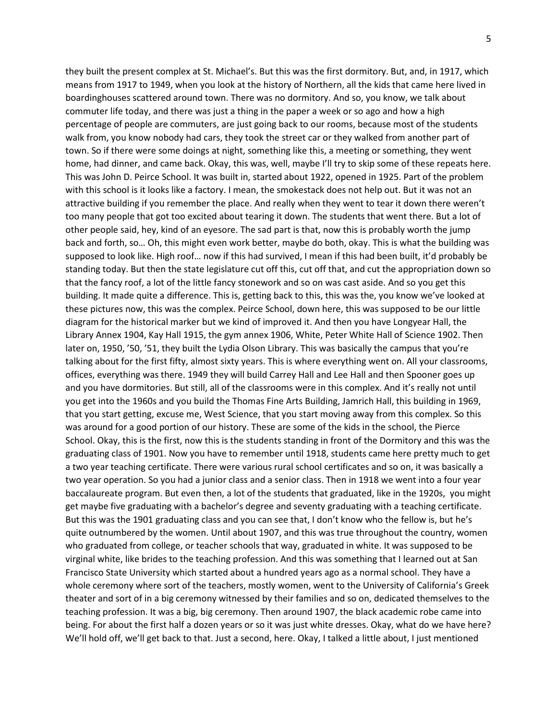they built the present complex at St. Michael's. But this was the first dormitory. But, and, in 1917, which means from 1917 to 1949, when you look at the history of Northern, all the kids that came here lived in boardinghouses scattered around town. There was no dormitory. And so, you know, we talk about commuter life today, and there was just a thing in the paper a week or so ago and how a high percentage of people are commuters, are just going back to our rooms, because most of the students walk from, you know nobody had cars, they took the street car or they walked from another part of town. So if there were some doings at night, something like this, a meeting or something, they went home, had dinner, and came back. Okay, this was, well, maybe I'll try to skip some of these repeats here. This was John D. Peirce School. It was built in, started about 1922, opened in 1925. Part of the problem with this school is it looks like a factory. I mean, the smokestack does not help out. But it was not an attractive building if you remember the place. And really when they went to tear it down there weren't too many people that got too excited about tearing it down. The students that went there. But a lot of other people said, hey, kind of an eyesore. The sad part is that, now this is probably worth the jump back and forth, so… Oh, this might even work better, maybe do both, okay. This is what the building was supposed to look like. High roof… now if this had survived, I mean if this had been built, it'd probably be standing today. But then the state legislature cut off this, cut off that, and cut the appropriation down so that the fancy roof, a lot of the little fancy stonework and so on was cast aside. And so you get this building. It made quite a difference. This is, getting back to this, this was the, you know we've looked at these pictures now, this was the complex. Peirce School, down here, this was supposed to be our little diagram for the historical marker but we kind of improved it. And then you have Longyear Hall, the Library Annex 1904, Kay Hall 1915, the gym annex 1906, White, Peter White Hall of Science 1902. Then later on, 1950, '50, '51, they built the Lydia Olson Library. This was basically the campus that you're talking about for the first fifty, almost sixty years. This is where everything went on. All your classrooms, offices, everything was there. 1949 they will build Carrey Hall and Lee Hall and then Spooner goes up and you have dormitories. But still, all of the classrooms were in this complex. And it's really not until you get into the 1960s and you build the Thomas Fine Arts Building, Jamrich Hall, this building in 1969, that you start getting, excuse me, West Science, that you start moving away from this complex. So this was around for a good portion of our history. These are some of the kids in the school, the Pierce School. Okay, this is the first, now this is the students standing in front of the Dormitory and this was the graduating class of 1901. Now you have to remember until 1918, students came here pretty much to get a two year teaching certificate. There were various rural school certificates and so on, it was basically a two year operation. So you had a junior class and a senior class. Then in 1918 we went into a four year baccalaureate program. But even then, a lot of the students that graduated, like in the 1920s, you might get maybe five graduating with a bachelor's degree and seventy graduating with a teaching certificate. But this was the 1901 graduating class and you can see that, I don't know who the fellow is, but he's quite outnumbered by the women. Until about 1907, and this was true throughout the country, women who graduated from college, or teacher schools that way, graduated in white. It was supposed to be virginal white, like brides to the teaching profession. And this was something that I learned out at San Francisco State University which started about a hundred years ago as a normal school. They have a whole ceremony where sort of the teachers, mostly women, went to the University of California's Greek theater and sort of in a big ceremony witnessed by their families and so on, dedicated themselves to the teaching profession. It was a big, big ceremony. Then around 1907, the black academic robe came into being. For about the first half a dozen years or so it was just white dresses. Okay, what do we have here? We'll hold off, we'll get back to that. Just a second, here. Okay, I talked a little about, I just mentioned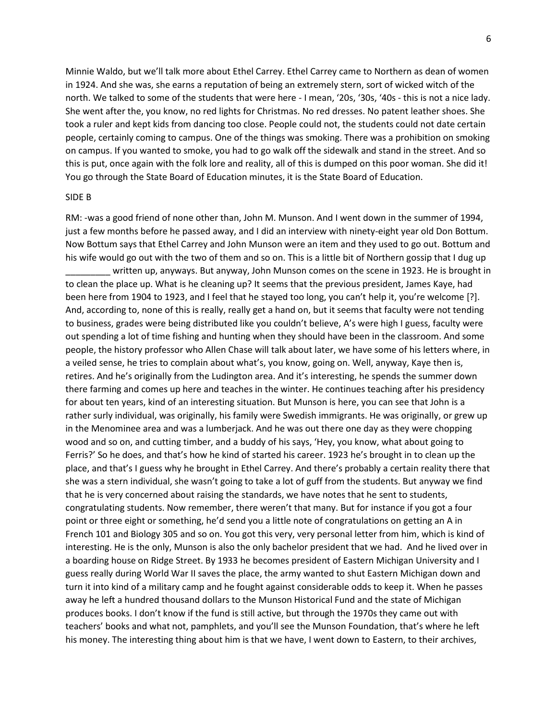Minnie Waldo, but we'll talk more about Ethel Carrey. Ethel Carrey came to Northern as dean of women in 1924. And she was, she earns a reputation of being an extremely stern, sort of wicked witch of the north. We talked to some of the students that were here - I mean, '20s, '30s, '40s - this is not a nice lady. She went after the, you know, no red lights for Christmas. No red dresses. No patent leather shoes. She took a ruler and kept kids from dancing too close. People could not, the students could not date certain people, certainly coming to campus. One of the things was smoking. There was a prohibition on smoking on campus. If you wanted to smoke, you had to go walk off the sidewalk and stand in the street. And so this is put, once again with the folk lore and reality, all of this is dumped on this poor woman. She did it! You go through the State Board of Education minutes, it is the State Board of Education.

## SIDE B

RM: -was a good friend of none other than, John M. Munson. And I went down in the summer of 1994, just a few months before he passed away, and I did an interview with ninety-eight year old Don Bottum. Now Bottum says that Ethel Carrey and John Munson were an item and they used to go out. Bottum and his wife would go out with the two of them and so on. This is a little bit of Northern gossip that I dug up written up, anyways. But anyway, John Munson comes on the scene in 1923. He is brought in

to clean the place up. What is he cleaning up? It seems that the previous president, James Kaye, had been here from 1904 to 1923, and I feel that he stayed too long, you can't help it, you're welcome [?]. And, according to, none of this is really, really get a hand on, but it seems that faculty were not tending to business, grades were being distributed like you couldn't believe, A's were high I guess, faculty were out spending a lot of time fishing and hunting when they should have been in the classroom. And some people, the history professor who Allen Chase will talk about later, we have some of his letters where, in a veiled sense, he tries to complain about what's, you know, going on. Well, anyway, Kaye then is, retires. And he's originally from the Ludington area. And it's interesting, he spends the summer down there farming and comes up here and teaches in the winter. He continues teaching after his presidency for about ten years, kind of an interesting situation. But Munson is here, you can see that John is a rather surly individual, was originally, his family were Swedish immigrants. He was originally, or grew up in the Menominee area and was a lumberjack. And he was out there one day as they were chopping wood and so on, and cutting timber, and a buddy of his says, 'Hey, you know, what about going to Ferris?' So he does, and that's how he kind of started his career. 1923 he's brought in to clean up the place, and that's I guess why he brought in Ethel Carrey. And there's probably a certain reality there that she was a stern individual, she wasn't going to take a lot of guff from the students. But anyway we find that he is very concerned about raising the standards, we have notes that he sent to students, congratulating students. Now remember, there weren't that many. But for instance if you got a four point or three eight or something, he'd send you a little note of congratulations on getting an A in French 101 and Biology 305 and so on. You got this very, very personal letter from him, which is kind of interesting. He is the only, Munson is also the only bachelor president that we had. And he lived over in a boarding house on Ridge Street. By 1933 he becomes president of Eastern Michigan University and I guess really during World War II saves the place, the army wanted to shut Eastern Michigan down and turn it into kind of a military camp and he fought against considerable odds to keep it. When he passes away he left a hundred thousand dollars to the Munson Historical Fund and the state of Michigan produces books. I don't know if the fund is still active, but through the 1970s they came out with teachers' books and what not, pamphlets, and you'll see the Munson Foundation, that's where he left his money. The interesting thing about him is that we have, I went down to Eastern, to their archives,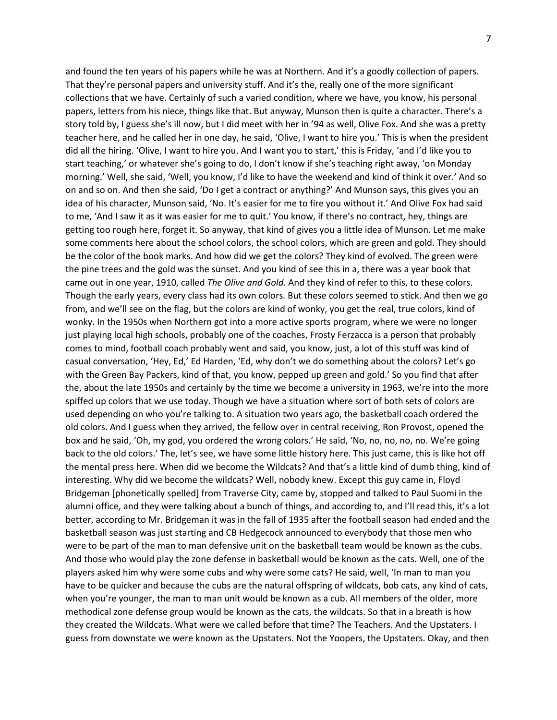and found the ten years of his papers while he was at Northern. And it's a goodly collection of papers. That they're personal papers and university stuff. And it's the, really one of the more significant collections that we have. Certainly of such a varied condition, where we have, you know, his personal papers, letters from his niece, things like that. But anyway, Munson then is quite a character. There's a story told by, I guess she's ill now, but I did meet with her in '94 as well, Olive Fox. And she was a pretty teacher here, and he called her in one day, he said, 'Olive, I want to hire you.' This is when the president did all the hiring. 'Olive, I want to hire you. And I want you to start,' this is Friday, 'and I'd like you to start teaching,' or whatever she's going to do, I don't know if she's teaching right away, 'on Monday morning.' Well, she said, 'Well, you know, I'd like to have the weekend and kind of think it over.' And so on and so on. And then she said, 'Do I get a contract or anything?' And Munson says, this gives you an idea of his character, Munson said, 'No. It's easier for me to fire you without it.' And Olive Fox had said to me, 'And I saw it as it was easier for me to quit.' You know, if there's no contract, hey, things are getting too rough here, forget it. So anyway, that kind of gives you a little idea of Munson. Let me make some comments here about the school colors, the school colors, which are green and gold. They should be the color of the book marks. And how did we get the colors? They kind of evolved. The green were the pine trees and the gold was the sunset. And you kind of see this in a, there was a year book that came out in one year, 1910, called *The Olive and Gold*. And they kind of refer to this, to these colors. Though the early years, every class had its own colors. But these colors seemed to stick. And then we go from, and we'll see on the flag, but the colors are kind of wonky, you get the real, true colors, kind of wonky. In the 1950s when Northern got into a more active sports program, where we were no longer just playing local high schools, probably one of the coaches, Frosty Ferzacca is a person that probably comes to mind, football coach probably went and said, you know, just, a lot of this stuff was kind of casual conversation, 'Hey, Ed,' Ed Harden, 'Ed, why don't we do something about the colors? Let's go with the Green Bay Packers, kind of that, you know, pepped up green and gold.' So you find that after the, about the late 1950s and certainly by the time we become a university in 1963, we're into the more spiffed up colors that we use today. Though we have a situation where sort of both sets of colors are used depending on who you're talking to. A situation two years ago, the basketball coach ordered the old colors. And I guess when they arrived, the fellow over in central receiving, Ron Provost, opened the box and he said, 'Oh, my god, you ordered the wrong colors.' He said, 'No, no, no, no, no. We're going back to the old colors.' The, let's see, we have some little history here. This just came, this is like hot off the mental press here. When did we become the Wildcats? And that's a little kind of dumb thing, kind of interesting. Why did we become the wildcats? Well, nobody knew. Except this guy came in, Floyd Bridgeman [phonetically spelled] from Traverse City, came by, stopped and talked to Paul Suomi in the alumni office, and they were talking about a bunch of things, and according to, and I'll read this, it's a lot better, according to Mr. Bridgeman it was in the fall of 1935 after the football season had ended and the basketball season was just starting and CB Hedgecock announced to everybody that those men who were to be part of the man to man defensive unit on the basketball team would be known as the cubs. And those who would play the zone defense in basketball would be known as the cats. Well, one of the players asked him why were some cubs and why were some cats? He said, well, 'In man to man you have to be quicker and because the cubs are the natural offspring of wildcats, bob cats, any kind of cats, when you're younger, the man to man unit would be known as a cub. All members of the older, more methodical zone defense group would be known as the cats, the wildcats. So that in a breath is how they created the Wildcats. What were we called before that time? The Teachers. And the Upstaters. I guess from downstate we were known as the Upstaters. Not the Yoopers, the Upstaters. Okay, and then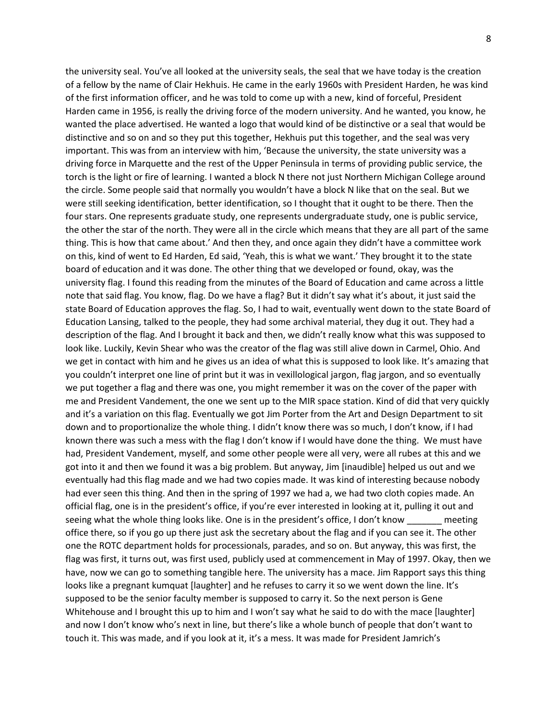the university seal. You've all looked at the university seals, the seal that we have today is the creation of a fellow by the name of Clair Hekhuis. He came in the early 1960s with President Harden, he was kind of the first information officer, and he was told to come up with a new, kind of forceful, President Harden came in 1956, is really the driving force of the modern university. And he wanted, you know, he wanted the place advertised. He wanted a logo that would kind of be distinctive or a seal that would be distinctive and so on and so they put this together, Hekhuis put this together, and the seal was very important. This was from an interview with him, 'Because the university, the state university was a driving force in Marquette and the rest of the Upper Peninsula in terms of providing public service, the torch is the light or fire of learning. I wanted a block N there not just Northern Michigan College around the circle. Some people said that normally you wouldn't have a block N like that on the seal. But we were still seeking identification, better identification, so I thought that it ought to be there. Then the four stars. One represents graduate study, one represents undergraduate study, one is public service, the other the star of the north. They were all in the circle which means that they are all part of the same thing. This is how that came about.' And then they, and once again they didn't have a committee work on this, kind of went to Ed Harden, Ed said, 'Yeah, this is what we want.' They brought it to the state board of education and it was done. The other thing that we developed or found, okay, was the university flag. I found this reading from the minutes of the Board of Education and came across a little note that said flag. You know, flag. Do we have a flag? But it didn't say what it's about, it just said the state Board of Education approves the flag. So, I had to wait, eventually went down to the state Board of Education Lansing, talked to the people, they had some archival material, they dug it out. They had a description of the flag. And I brought it back and then, we didn't really know what this was supposed to look like. Luckily, Kevin Shear who was the creator of the flag was still alive down in Carmel, Ohio. And we get in contact with him and he gives us an idea of what this is supposed to look like. It's amazing that you couldn't interpret one line of print but it was in vexillological jargon, flag jargon, and so eventually we put together a flag and there was one, you might remember it was on the cover of the paper with me and President Vandement, the one we sent up to the MIR space station. Kind of did that very quickly and it's a variation on this flag. Eventually we got Jim Porter from the Art and Design Department to sit down and to proportionalize the whole thing. I didn't know there was so much, I don't know, if I had known there was such a mess with the flag I don't know if I would have done the thing. We must have had, President Vandement, myself, and some other people were all very, were all rubes at this and we got into it and then we found it was a big problem. But anyway, Jim [inaudible] helped us out and we eventually had this flag made and we had two copies made. It was kind of interesting because nobody had ever seen this thing. And then in the spring of 1997 we had a, we had two cloth copies made. An official flag, one is in the president's office, if you're ever interested in looking at it, pulling it out and seeing what the whole thing looks like. One is in the president's office, I don't know \_\_\_\_\_\_\_ meeting office there, so if you go up there just ask the secretary about the flag and if you can see it. The other one the ROTC department holds for processionals, parades, and so on. But anyway, this was first, the flag was first, it turns out, was first used, publicly used at commencement in May of 1997. Okay, then we have, now we can go to something tangible here. The university has a mace. Jim Rapport says this thing looks like a pregnant kumquat [laughter] and he refuses to carry it so we went down the line. It's supposed to be the senior faculty member is supposed to carry it. So the next person is Gene Whitehouse and I brought this up to him and I won't say what he said to do with the mace [laughter] and now I don't know who's next in line, but there's like a whole bunch of people that don't want to touch it. This was made, and if you look at it, it's a mess. It was made for President Jamrich's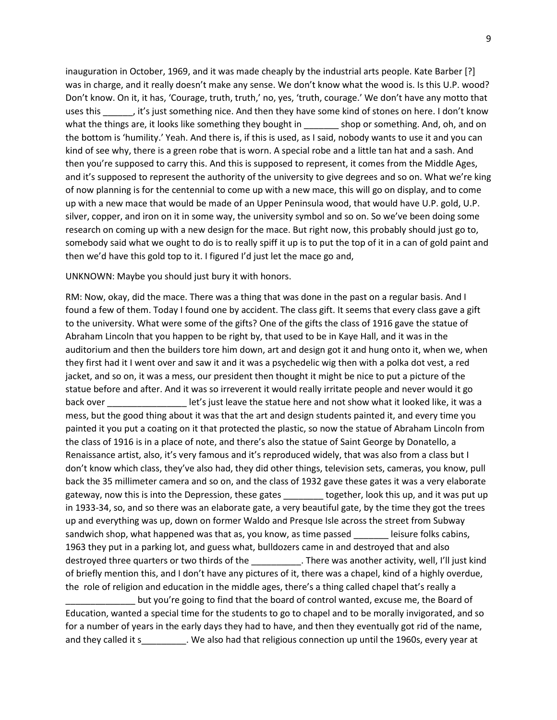inauguration in October, 1969, and it was made cheaply by the industrial arts people. Kate Barber [?] was in charge, and it really doesn't make any sense. We don't know what the wood is. Is this U.P. wood? Don't know. On it, it has, 'Courage, truth, truth,' no, yes, 'truth, courage.' We don't have any motto that uses this  $\cdot$ , it's just something nice. And then they have some kind of stones on here. I don't know what the things are, it looks like something they bought in shop or something. And, oh, and on the bottom is 'humility.' Yeah. And there is, if this is used, as I said, nobody wants to use it and you can kind of see why, there is a green robe that is worn. A special robe and a little tan hat and a sash. And then you're supposed to carry this. And this is supposed to represent, it comes from the Middle Ages, and it's supposed to represent the authority of the university to give degrees and so on. What we're king of now planning is for the centennial to come up with a new mace, this will go on display, and to come up with a new mace that would be made of an Upper Peninsula wood, that would have U.P. gold, U.P. silver, copper, and iron on it in some way, the university symbol and so on. So we've been doing some research on coming up with a new design for the mace. But right now, this probably should just go to, somebody said what we ought to do is to really spiff it up is to put the top of it in a can of gold paint and then we'd have this gold top to it. I figured I'd just let the mace go and,

## UNKNOWN: Maybe you should just bury it with honors.

RM: Now, okay, did the mace. There was a thing that was done in the past on a regular basis. And I found a few of them. Today I found one by accident. The class gift. It seems that every class gave a gift to the university. What were some of the gifts? One of the gifts the class of 1916 gave the statue of Abraham Lincoln that you happen to be right by, that used to be in Kaye Hall, and it was in the auditorium and then the builders tore him down, art and design got it and hung onto it, when we, when they first had it I went over and saw it and it was a psychedelic wig then with a polka dot vest, a red jacket, and so on, it was a mess, our president then thought it might be nice to put a picture of the statue before and after. And it was so irreverent it would really irritate people and never would it go back over **EXEC SERVIDES IN A LOOKET LET** let's just leave the statue here and not show what it looked like, it was a mess, but the good thing about it was that the art and design students painted it, and every time you painted it you put a coating on it that protected the plastic, so now the statue of Abraham Lincoln from the class of 1916 is in a place of note, and there's also the statue of Saint George by Donatello, a Renaissance artist, also, it's very famous and it's reproduced widely, that was also from a class but I don't know which class, they've also had, they did other things, television sets, cameras, you know, pull back the 35 millimeter camera and so on, and the class of 1932 gave these gates it was a very elaborate gateway, now this is into the Depression, these gates \_\_\_\_\_\_\_\_ together, look this up, and it was put up in 1933-34, so, and so there was an elaborate gate, a very beautiful gate, by the time they got the trees up and everything was up, down on former Waldo and Presque Isle across the street from Subway sandwich shop, what happened was that as, you know, as time passed element leisure folks cabins, 1963 they put in a parking lot, and guess what, bulldozers came in and destroyed that and also destroyed three quarters or two thirds of the \_\_\_\_\_\_\_\_\_\_\_. There was another activity, well, I'll just kind of briefly mention this, and I don't have any pictures of it, there was a chapel, kind of a highly overdue, the role of religion and education in the middle ages, there's a thing called chapel that's really a

\_\_\_\_\_\_\_\_\_\_\_\_\_\_ but you're going to find that the board of control wanted, excuse me, the Board of Education, wanted a special time for the students to go to chapel and to be morally invigorated, and so for a number of years in the early days they had to have, and then they eventually got rid of the name, and they called it s\_\_\_\_\_\_\_\_\_. We also had that religious connection up until the 1960s, every year at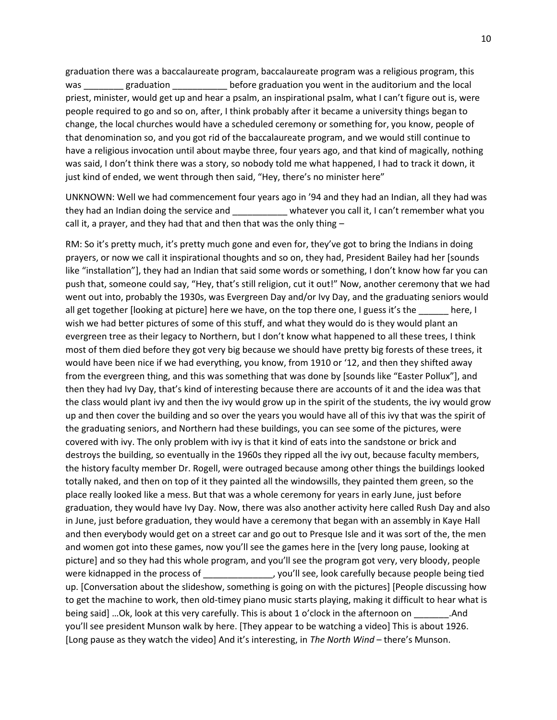graduation there was a baccalaureate program, baccalaureate program was a religious program, this was \_\_\_\_\_\_\_\_ graduation \_\_\_\_\_\_\_\_\_\_\_\_ before graduation you went in the auditorium and the local priest, minister, would get up and hear a psalm, an inspirational psalm, what I can't figure out is, were people required to go and so on, after, I think probably after it became a university things began to change, the local churches would have a scheduled ceremony or something for, you know, people of that denomination so, and you got rid of the baccalaureate program, and we would still continue to have a religious invocation until about maybe three, four years ago, and that kind of magically, nothing was said, I don't think there was a story, so nobody told me what happened, I had to track it down, it just kind of ended, we went through then said, "Hey, there's no minister here"

UNKNOWN: Well we had commencement four years ago in '94 and they had an Indian, all they had was they had an Indian doing the service and  $\blacksquare$  whatever you call it, I can't remember what you call it, a prayer, and they had that and then that was the only thing –

RM: So it's pretty much, it's pretty much gone and even for, they've got to bring the Indians in doing prayers, or now we call it inspirational thoughts and so on, they had, President Bailey had her [sounds like "installation"], they had an Indian that said some words or something, I don't know how far you can push that, someone could say, "Hey, that's still religion, cut it out!" Now, another ceremony that we had went out into, probably the 1930s, was Evergreen Day and/or Ivy Day, and the graduating seniors would all get together [looking at picture] here we have, on the top there one, I guess it's the \_\_\_\_\_\_ here, I wish we had better pictures of some of this stuff, and what they would do is they would plant an evergreen tree as their legacy to Northern, but I don't know what happened to all these trees, I think most of them died before they got very big because we should have pretty big forests of these trees, it would have been nice if we had everything, you know, from 1910 or '12, and then they shifted away from the evergreen thing, and this was something that was done by [sounds like "Easter Pollux"], and then they had Ivy Day, that's kind of interesting because there are accounts of it and the idea was that the class would plant ivy and then the ivy would grow up in the spirit of the students, the ivy would grow up and then cover the building and so over the years you would have all of this ivy that was the spirit of the graduating seniors, and Northern had these buildings, you can see some of the pictures, were covered with ivy. The only problem with ivy is that it kind of eats into the sandstone or brick and destroys the building, so eventually in the 1960s they ripped all the ivy out, because faculty members, the history faculty member Dr. Rogell, were outraged because among other things the buildings looked totally naked, and then on top of it they painted all the windowsills, they painted them green, so the place really looked like a mess. But that was a whole ceremony for years in early June, just before graduation, they would have Ivy Day. Now, there was also another activity here called Rush Day and also in June, just before graduation, they would have a ceremony that began with an assembly in Kaye Hall and then everybody would get on a street car and go out to Presque Isle and it was sort of the, the men and women got into these games, now you'll see the games here in the [very long pause, looking at picture] and so they had this whole program, and you'll see the program got very, very bloody, people were kidnapped in the process of \_\_\_\_\_\_\_\_\_\_\_\_\_\_, you'll see, look carefully because people being tied up. [Conversation about the slideshow, something is going on with the pictures] [People discussing how to get the machine to work, then old-timey piano music starts playing, making it difficult to hear what is being said] …Ok, look at this very carefully. This is about 1 o'clock in the afternoon on \_\_\_\_\_\_\_.And you'll see president Munson walk by here. [They appear to be watching a video] This is about 1926. [Long pause as they watch the video] And it's interesting, in *The North Wind* – there's Munson.